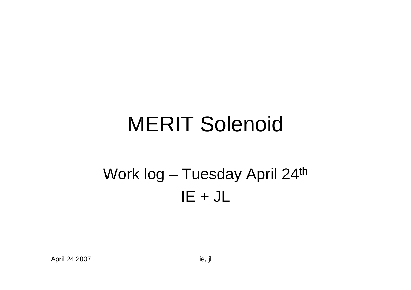# MERIT Solenoid

#### Work log – Tuesday April 24<sup>th</sup>  $IE + JL$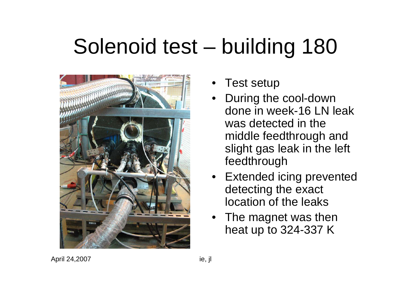## Solenoid test – building 180



- Test setup
- During the cool-down done in week-16 LN leak was detected in the middle feedthrough and slight gas leak in the left feedthrough
- Extended icing prevented detecting the exact location of the leaks
- The magnet was then heat up to 324-337 K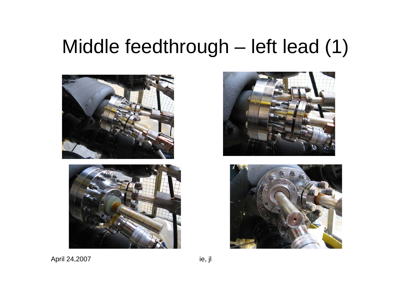#### Middle feedthrough – left lead (1)







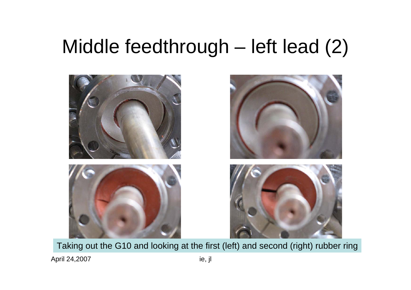### Middle feedthrough – left lead (2)



Taking out the G10 and looking at the first (left) and second (right) rubber ring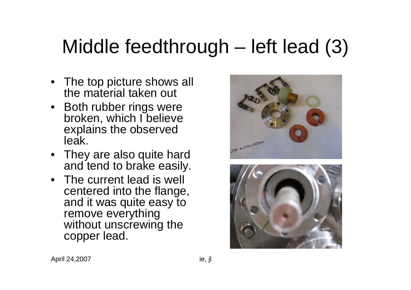### Middle feedthrough – left lead (3)

- The top picture shows all the material taken out
- Both rubber rings were broken, which I believe explains the observed leak.
- They are also quite hard and tend to brake easily.
- The current lead is well centered into the flange, and it was quite easy to remove everything without unscrewing the copper lead.



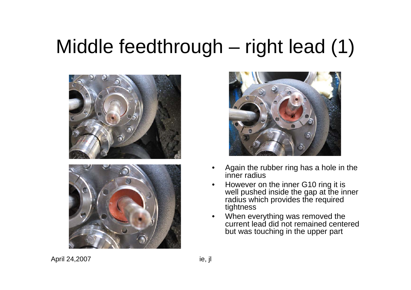### Middle feedthrough – right lead (1)







- • Again the rubber ring has a hole in the inner radius
- • However on the inner G10 ring it is well pushed inside the gap at the inner radius which provides the required tightness
- • When everything was removed the current lead did not remained centered but was touching in the upper part